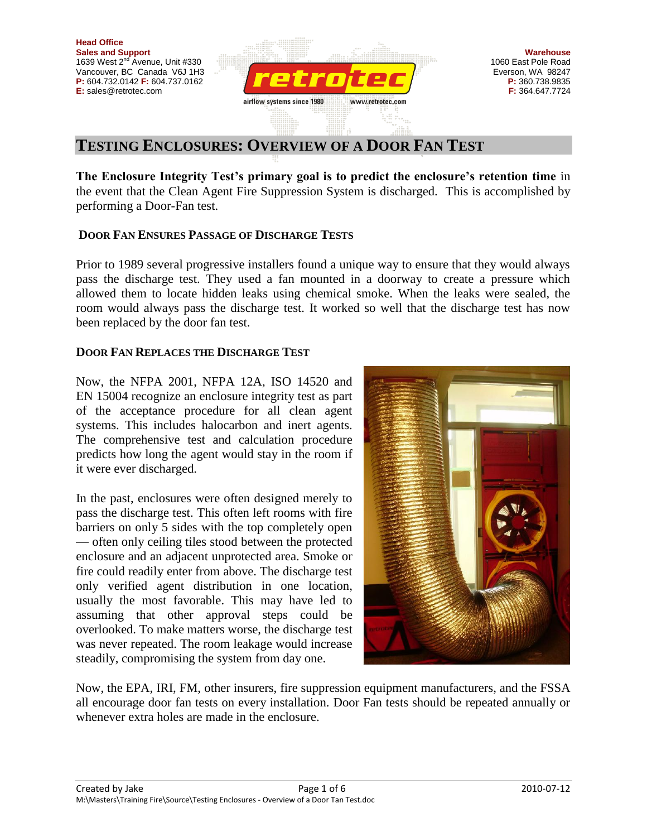

# **TESTING ENCLOSURES: OVERVIEW OF A DOOR FAN TEST**

**The Enclosure Integrity Test's primary goal is to predict the enclosure's retention time** in the event that the Clean Agent Fire Suppression System is discharged. This is accomplished by performing a Door-Fan test.

## **DOOR FAN ENSURES PASSAGE OF DISCHARGE TESTS**

Prior to 1989 several progressive installers found a unique way to ensure that they would always pass the discharge test. They used a fan mounted in a doorway to create a pressure which allowed them to locate hidden leaks using chemical smoke. When the leaks were sealed, the room would always pass the discharge test. It worked so well that the discharge test has now been replaced by the door fan test.

### **DOOR FAN REPLACES THE DISCHARGE TEST**

Now, the NFPA 2001, NFPA 12A, ISO 14520 and EN 15004 recognize an enclosure integrity test as part of the acceptance procedure for all clean agent systems. This includes halocarbon and inert agents. The comprehensive test and calculation procedure predicts how long the agent would stay in the room if it were ever discharged.

In the past, enclosures were often designed merely to pass the discharge test. This often left rooms with fire barriers on only 5 sides with the top completely open — often only ceiling tiles stood between the protected enclosure and an adjacent unprotected area. Smoke or fire could readily enter from above. The discharge test only verified agent distribution in one location, usually the most favorable. This may have led to assuming that other approval steps could be overlooked. To make matters worse, the discharge test was never repeated. The room leakage would increase steadily, compromising the system from day one.



Now, the EPA, IRI, FM, other insurers, fire suppression equipment manufacturers, and the FSSA all encourage door fan tests on every installation. Door Fan tests should be repeated annually or whenever extra holes are made in the enclosure.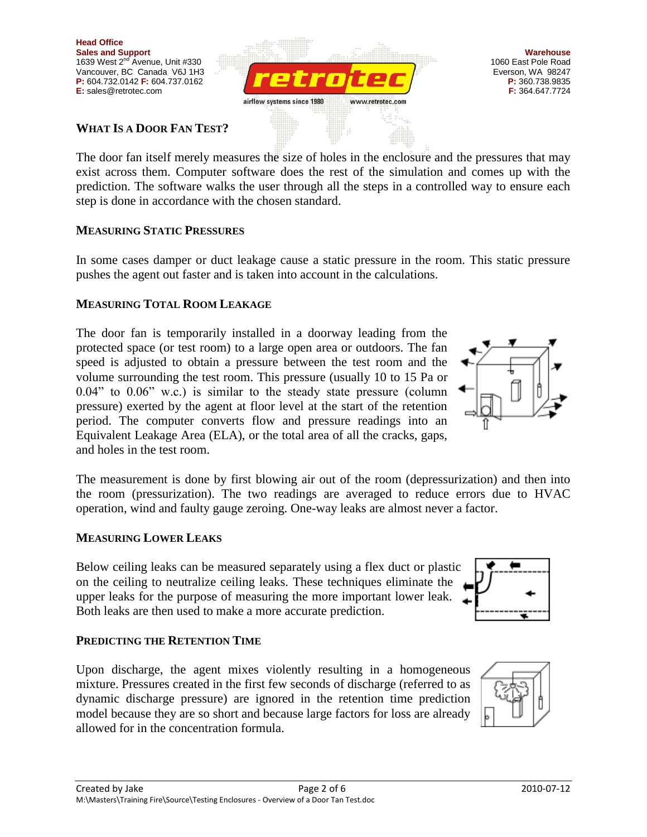**WHAT IS A DOOR FAN TEST?**

The door fan itself merely measures the size of holes in the enclosure and the pressures that may exist across them. Computer software does the rest of the simulation and comes up with the prediction. The software walks the user through all the steps in a controlled way to ensure each

airflow systems since 1980

# **MEASURING STATIC PRESSURES**

step is done in accordance with the chosen standard.

In some cases damper or duct leakage cause a static pressure in the room. This static pressure pushes the agent out faster and is taken into account in the calculations.

www.retrotec.com

# **MEASURING TOTAL ROOM LEAKAGE**

and holes in the test room. The measurement is done by first blowing air out of the room (depressurization) and then into the room (pressurization). The two readings are averaged to reduce errors due to HVAC operation, wind and faulty gauge zeroing. One-way leaks are almost never a factor.

# **MEASURING LOWER LEAKS**

Below ceiling leaks can be measured separately using a flex duct or plastic on the ceiling to neutralize ceiling leaks. These techniques eliminate the upper leaks for the purpose of measuring the more important lower leak. Both leaks are then used to make a more accurate prediction.

# **PREDICTING THE RETENTION TIME**

Upon discharge, the agent mixes violently resulting in a homogeneous mixture. Pressures created in the first few seconds of discharge (referred to as dynamic discharge pressure) are ignored in the retention time prediction model because they are so short and because large factors for loss are already allowed for in the concentration formula.







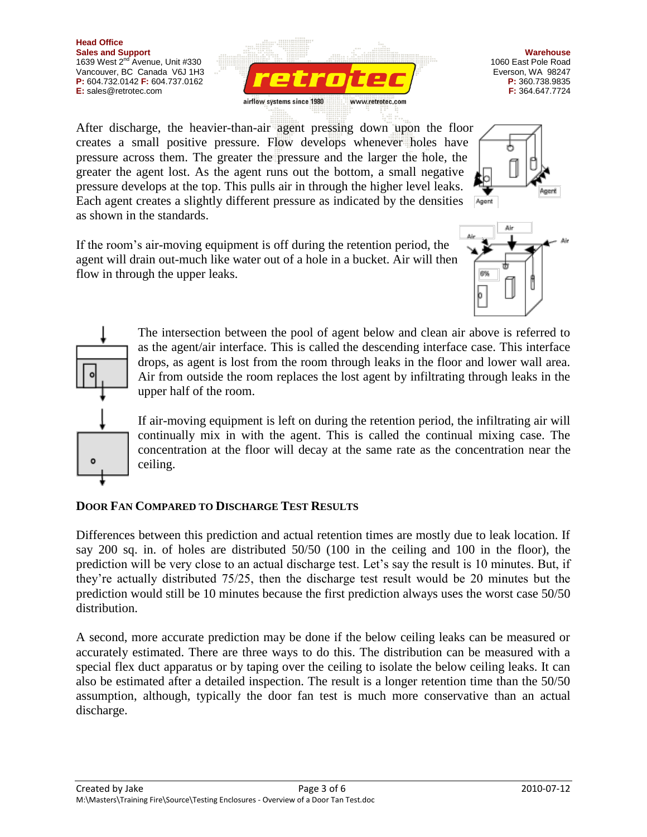

**Warehouse** 1060 East Pole Road Everson, WA 98247 **P:** 360.738.9835 **F:** 364.647.7724

After discharge, the heavier-than-air agent pressing down upon the floor creates a small positive pressure. Flow develops whenever holes have pressure across them. The greater the pressure and the larger the hole, the greater the agent lost. As the agent runs out the bottom, a small negative pressure develops at the top. This pulls air in through the higher level leaks. Each agent creates a slightly different pressure as indicated by the densities Agent as shown in the standards.

If the room's air-moving equipment is off during the retention period, the agent will drain out-much like water out of a hole in a bucket. Air will then flow in through the upper leaks.





The intersection between the pool of agent below and clean air above is referred to as the agent/air interface. This is called the descending interface case. This interface drops, as agent is lost from the room through leaks in the floor and lower wall area. Air from outside the room replaces the lost agent by infiltrating through leaks in the upper half of the room.

If air-moving equipment is left on during the retention period, the infiltrating air will continually mix in with the agent. This is called the continual mixing case. The concentration at the floor will decay at the same rate as the concentration near the ceiling.

## **DOOR FAN COMPARED TO DISCHARGE TEST RESULTS**

Differences between this prediction and actual retention times are mostly due to leak location. If say 200 sq. in. of holes are distributed 50/50 (100 in the ceiling and 100 in the floor), the prediction will be very close to an actual discharge test. Let's say the result is 10 minutes. But, if they're actually distributed 75/25, then the discharge test result would be 20 minutes but the prediction would still be 10 minutes because the first prediction always uses the worst case 50/50 distribution.

A second, more accurate prediction may be done if the below ceiling leaks can be measured or accurately estimated. There are three ways to do this. The distribution can be measured with a special flex duct apparatus or by taping over the ceiling to isolate the below ceiling leaks. It can also be estimated after a detailed inspection. The result is a longer retention time than the 50/50 assumption, although, typically the door fan test is much more conservative than an actual discharge.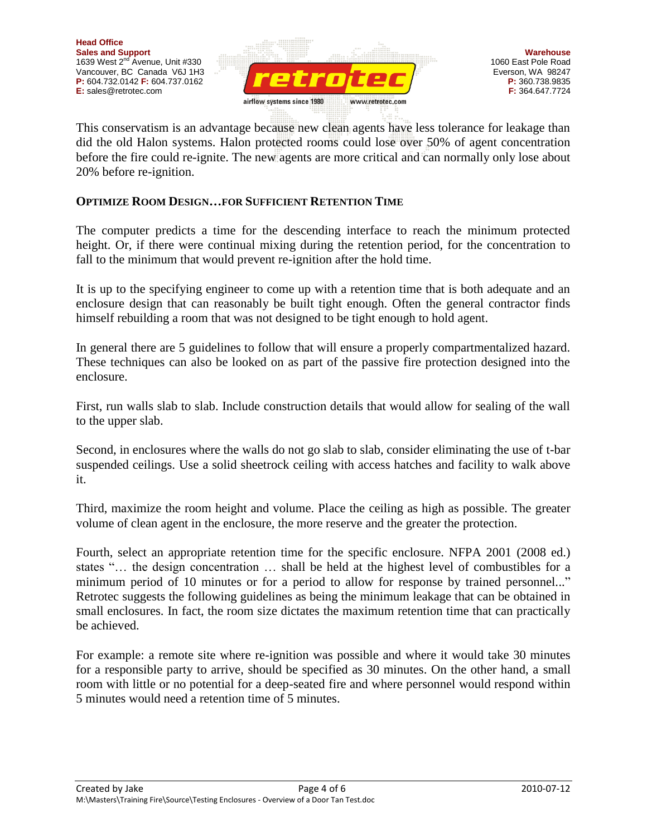

This conservatism is an advantage because new clean agents have less tolerance for leakage than did the old Halon systems. Halon protected rooms could lose over 50% of agent concentration before the fire could re-ignite. The new agents are more critical and can normally only lose about 20% before re-ignition.

## **OPTIMIZE ROOM DESIGN…FOR SUFFICIENT RETENTION TIME**

The computer predicts a time for the descending interface to reach the minimum protected height. Or, if there were continual mixing during the retention period, for the concentration to fall to the minimum that would prevent re-ignition after the hold time.

It is up to the specifying engineer to come up with a retention time that is both adequate and an enclosure design that can reasonably be built tight enough. Often the general contractor finds himself rebuilding a room that was not designed to be tight enough to hold agent.

In general there are 5 guidelines to follow that will ensure a properly compartmentalized hazard. These techniques can also be looked on as part of the passive fire protection designed into the enclosure.

First, run walls slab to slab. Include construction details that would allow for sealing of the wall to the upper slab.

Second, in enclosures where the walls do not go slab to slab, consider eliminating the use of t-bar suspended ceilings. Use a solid sheetrock ceiling with access hatches and facility to walk above it.

Third, maximize the room height and volume. Place the ceiling as high as possible. The greater volume of clean agent in the enclosure, the more reserve and the greater the protection.

Fourth, select an appropriate retention time for the specific enclosure. NFPA 2001 (2008 ed.) states "… the design concentration … shall be held at the highest level of combustibles for a minimum period of 10 minutes or for a period to allow for response by trained personnel..." Retrotec suggests the following guidelines as being the minimum leakage that can be obtained in small enclosures. In fact, the room size dictates the maximum retention time that can practically be achieved.

For example: a remote site where re-ignition was possible and where it would take 30 minutes for a responsible party to arrive, should be specified as 30 minutes. On the other hand, a small room with little or no potential for a deep-seated fire and where personnel would respond within 5 minutes would need a retention time of 5 minutes.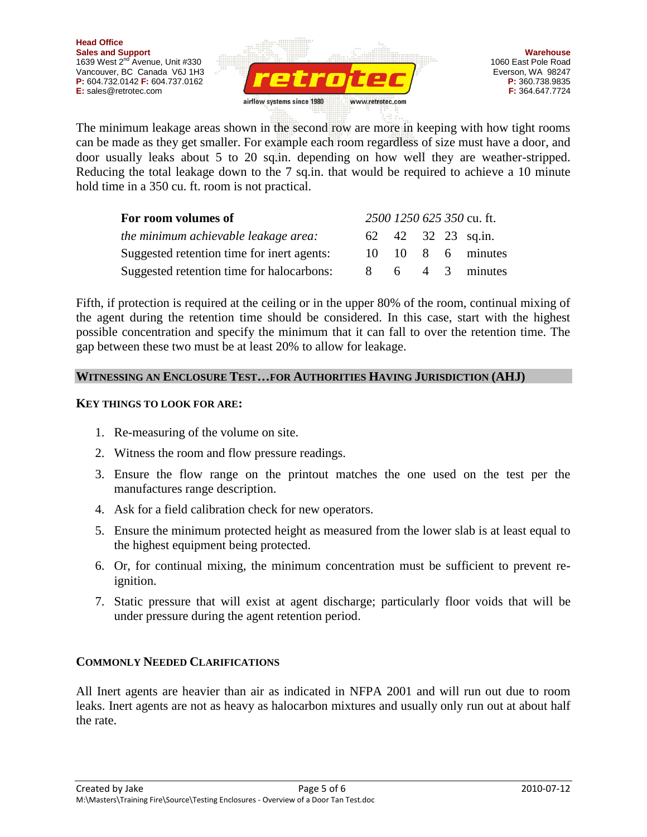

The minimum leakage areas shown in the second row are more in keeping with how tight rooms can be made as they get smaller. For example each room regardless of size must have a door, and door usually leaks about 5 to 20 sq.in. depending on how well they are weather-stripped. Reducing the total leakage down to the 7 sq.in. that would be required to achieve a 10 minute hold time in a 350 cu. ft. room is not practical.

| For room volumes of                        |        |  | 2500 1250 625 350 cu. ft. |
|--------------------------------------------|--------|--|---------------------------|
| the minimum achievable leakage area:       |        |  | 62 42 32 23 sq.in.        |
| Suggested retention time for inert agents: | $10 -$ |  | 10 8 6 minutes            |
| Suggested retention time for halocarbons:  |        |  | 6 4 3 minutes             |

Fifth, if protection is required at the ceiling or in the upper 80% of the room, continual mixing of the agent during the retention time should be considered. In this case, start with the highest possible concentration and specify the minimum that it can fall to over the retention time. The gap between these two must be at least 20% to allow for leakage.

### **WITNESSING AN ENCLOSURE TEST…FOR AUTHORITIES HAVING JURISDICTION (AHJ)**

#### **KEY THINGS TO LOOK FOR ARE:**

- 1. Re-measuring of the volume on site.
- 2. Witness the room and flow pressure readings.
- 3. Ensure the flow range on the printout matches the one used on the test per the manufactures range description.
- 4. Ask for a field calibration check for new operators.
- 5. Ensure the minimum protected height as measured from the lower slab is at least equal to the highest equipment being protected.
- 6. Or, for continual mixing, the minimum concentration must be sufficient to prevent reignition.
- 7. Static pressure that will exist at agent discharge; particularly floor voids that will be under pressure during the agent retention period.

### **COMMONLY NEEDED CLARIFICATIONS**

All Inert agents are heavier than air as indicated in NFPA 2001 and will run out due to room leaks. Inert agents are not as heavy as halocarbon mixtures and usually only run out at about half the rate.